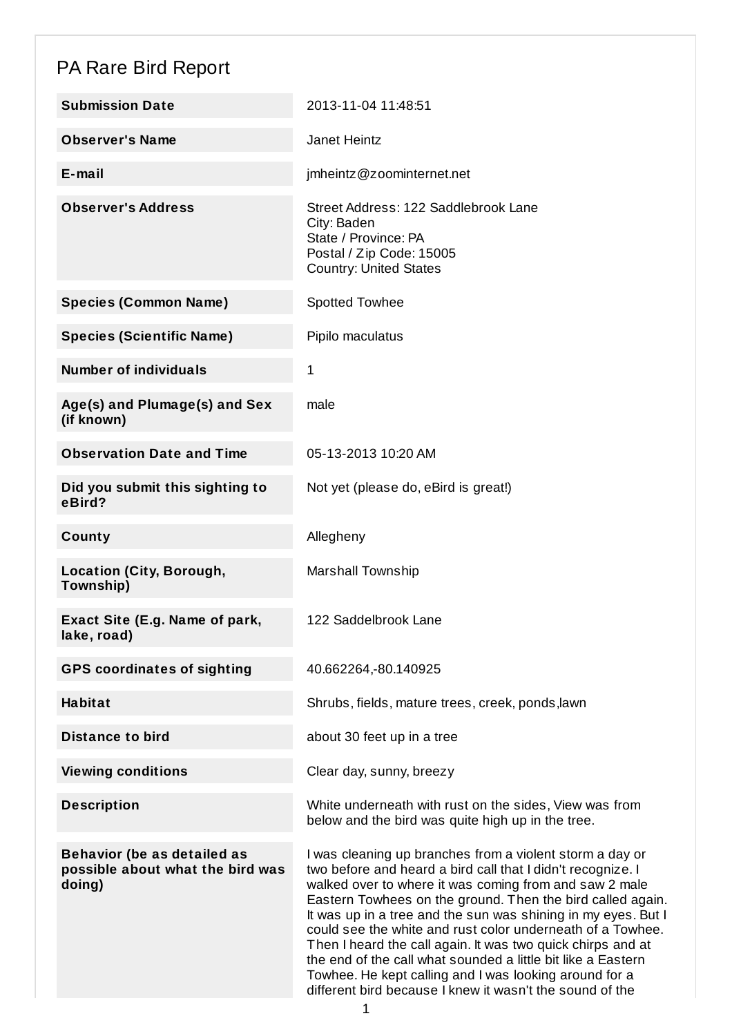## PA Rare Bird Report

| <b>Submission Date</b>                                                           | 2013-11-04 11:48:51                                                                                                                                                                                                                                                                                                                                                                                                                                                                                                                                                                                                                 |
|----------------------------------------------------------------------------------|-------------------------------------------------------------------------------------------------------------------------------------------------------------------------------------------------------------------------------------------------------------------------------------------------------------------------------------------------------------------------------------------------------------------------------------------------------------------------------------------------------------------------------------------------------------------------------------------------------------------------------------|
| <b>Observer's Name</b>                                                           | <b>Janet Heintz</b>                                                                                                                                                                                                                                                                                                                                                                                                                                                                                                                                                                                                                 |
| $E$ -mail                                                                        | imheintz@zoominternet.net                                                                                                                                                                                                                                                                                                                                                                                                                                                                                                                                                                                                           |
| <b>Observer's Address</b>                                                        | Street Address: 122 Saddlebrook Lane<br>City: Baden<br>State / Province: PA<br>Postal / Zip Code: 15005<br><b>Country: United States</b>                                                                                                                                                                                                                                                                                                                                                                                                                                                                                            |
| <b>Species (Common Name)</b>                                                     | Spotted Towhee                                                                                                                                                                                                                                                                                                                                                                                                                                                                                                                                                                                                                      |
| <b>Species (Scientific Name)</b>                                                 | Pipilo maculatus                                                                                                                                                                                                                                                                                                                                                                                                                                                                                                                                                                                                                    |
| <b>Number of individuals</b>                                                     | 1                                                                                                                                                                                                                                                                                                                                                                                                                                                                                                                                                                                                                                   |
| Age(s) and Plumage(s) and Sex<br>(if known)                                      | male                                                                                                                                                                                                                                                                                                                                                                                                                                                                                                                                                                                                                                |
| <b>Observation Date and Time</b>                                                 | 05-13-2013 10:20 AM                                                                                                                                                                                                                                                                                                                                                                                                                                                                                                                                                                                                                 |
| Did you submit this sighting to<br>eBird?                                        | Not yet (please do, eBird is great!)                                                                                                                                                                                                                                                                                                                                                                                                                                                                                                                                                                                                |
| County                                                                           | Allegheny                                                                                                                                                                                                                                                                                                                                                                                                                                                                                                                                                                                                                           |
| <b>Location (City, Borough,</b><br>Township)                                     | <b>Marshall Township</b>                                                                                                                                                                                                                                                                                                                                                                                                                                                                                                                                                                                                            |
| Exact Site (E.g. Name of park,<br>lake, road)                                    | 122 Saddelbrook Lane                                                                                                                                                                                                                                                                                                                                                                                                                                                                                                                                                                                                                |
| <b>GPS coordinates of sighting</b>                                               | 40.662264,-80.140925                                                                                                                                                                                                                                                                                                                                                                                                                                                                                                                                                                                                                |
| <b>Habitat</b>                                                                   | Shrubs, fields, mature trees, creek, ponds, lawn                                                                                                                                                                                                                                                                                                                                                                                                                                                                                                                                                                                    |
| <b>Distance to bird</b>                                                          | about 30 feet up in a tree                                                                                                                                                                                                                                                                                                                                                                                                                                                                                                                                                                                                          |
| <b>Viewing conditions</b>                                                        | Clear day, sunny, breezy                                                                                                                                                                                                                                                                                                                                                                                                                                                                                                                                                                                                            |
| <b>Description</b>                                                               | White underneath with rust on the sides, View was from<br>below and the bird was quite high up in the tree.                                                                                                                                                                                                                                                                                                                                                                                                                                                                                                                         |
| <b>Behavior (be as detailed as</b><br>possible about what the bird was<br>doing) | I was cleaning up branches from a violent storm a day or<br>two before and heard a bird call that I didn't recognize. I<br>walked over to where it was coming from and saw 2 male<br>Eastern Towhees on the ground. Then the bird called again.<br>It was up in a tree and the sun was shining in my eyes. But I<br>could see the white and rust color underneath of a Towhee.<br>Then I heard the call again. It was two quick chirps and at<br>the end of the call what sounded a little bit like a Eastern<br>Towhee. He kept calling and I was looking around for a<br>different bird because I knew it wasn't the sound of the |